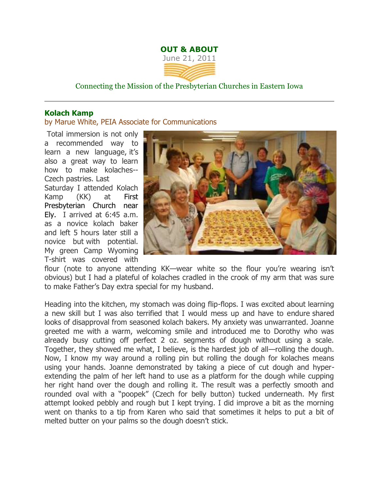## **OUT & ABOUT** June 21, 2011

Connecting the Mission of the Presbyterian Churches in Eastern Iowa

## **Kolach Kamp**

by Marue White, PEIA Associate for Communications

Total immersion is not only a recommended way to learn a new language, it's also a great way to learn how to make kolaches-- Czech pastries. Last Saturday I attended Kolach Kamp (KK) at First Presbyterian Church near Ely. I arrived at 6:45 a.m. as a novice kolach baker and left 5 hours later still a novice but with potential. My green Camp Wyoming T-shirt was covered with



flour (note to anyone attending KK—wear white so the flour you're wearing isn't obvious) but I had a plateful of kolaches cradled in the crook of my arm that was sure to make Father's Day extra special for my husband.

Heading into the kitchen, my stomach was doing flip-flops. I was excited about learning a new skill but I was also terrified that I would mess up and have to endure shared looks of disapproval from seasoned kolach bakers. My anxiety was unwarranted. Joanne greeted me with a warm, welcoming smile and introduced me to Dorothy who was already busy cutting off perfect 2 oz. segments of dough without using a scale. Together, they showed me what, I believe, is the hardest job of all—rolling the dough. Now, I know my way around a rolling pin but rolling the dough for kolaches means using your hands. Joanne demonstrated by taking a piece of cut dough and hyperextending the palm of her left hand to use as a platform for the dough while cupping her right hand over the dough and rolling it. The result was a perfectly smooth and rounded oval with a "poopek" (Czech for belly button) tucked underneath. My first attempt looked pebbly and rough but I kept trying. I did improve a bit as the morning went on thanks to a tip from Karen who said that sometimes it helps to put a bit of melted butter on your palms so the dough doesn't stick.